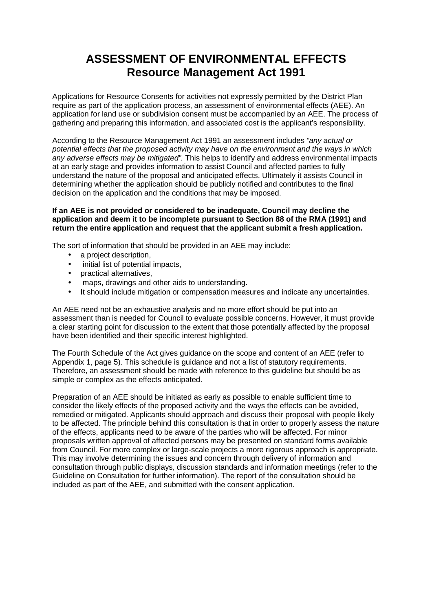# **ASSESSMENT OF ENVIRONMENTAL EFFECTS Resource Management Act 1991**

Applications for Resource Consents for activities not expressly permitted by the District Plan require as part of the application process, an assessment of environmental effects (AEE). An application for land use or subdivision consent must be accompanied by an AEE. The process of gathering and preparing this information, and associated cost is the applicant's responsibility.

According to the Resource Management Act 1991 an assessment includes "any actual or potential effects that the proposed activity may have on the environment and the ways in which any adverse effects may be mitigated". This helps to identify and address environmental impacts at an early stage and provides information to assist Council and affected parties to fully understand the nature of the proposal and anticipated effects. Ultimately it assists Council in determining whether the application should be publicly notified and contributes to the final decision on the application and the conditions that may be imposed.

#### **If an AEE is not provided or considered to be inadequate, Council may decline the application and deem it to be incomplete pursuant to Section 88 of the RMA (1991) and return the entire application and request that the applicant submit a fresh application.**

The sort of information that should be provided in an AEE may include:

- a project description.
- initial list of potential impacts,
- practical alternatives,
- maps, drawings and other aids to understanding.
- It should include mitigation or compensation measures and indicate any uncertainties.

An AEE need not be an exhaustive analysis and no more effort should be put into an assessment than is needed for Council to evaluate possible concerns. However, it must provide a clear starting point for discussion to the extent that those potentially affected by the proposal have been identified and their specific interest highlighted.

The Fourth Schedule of the Act gives guidance on the scope and content of an AEE (refer to Appendix 1, page 5). This schedule is guidance and not a list of statutory requirements. Therefore, an assessment should be made with reference to this guideline but should be as simple or complex as the effects anticipated.

Preparation of an AEE should be initiated as early as possible to enable sufficient time to consider the likely effects of the proposed activity and the ways the effects can be avoided, remedied or mitigated. Applicants should approach and discuss their proposal with people likely to be affected. The principle behind this consultation is that in order to properly assess the nature of the effects, applicants need to be aware of the parties who will be affected. For minor proposals written approval of affected persons may be presented on standard forms available from Council. For more complex or large-scale projects a more rigorous approach is appropriate. This may involve determining the issues and concern through delivery of information and consultation through public displays, discussion standards and information meetings (refer to the Guideline on Consultation for further information). The report of the consultation should be included as part of the AEE, and submitted with the consent application.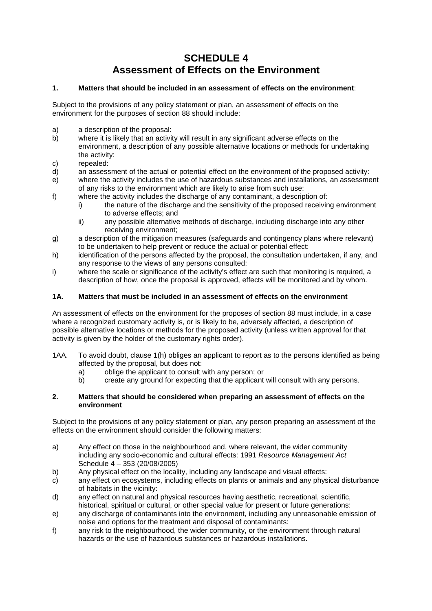# **SCHEDULE 4 Assessment of Effects on the Environment**

#### **1. Matters that should be included in an assessment of effects on the environment**:

Subject to the provisions of any policy statement or plan, an assessment of effects on the environment for the purposes of section 88 should include:

- a) a description of the proposal:
- b) where it is likely that an activity will result in any significant adverse effects on the environment, a description of any possible alternative locations or methods for undertaking the activity:
- c) repealed:
- d) an assessment of the actual or potential effect on the environment of the proposed activity:
- e) where the activity includes the use of hazardous substances and installations, an assessment of any risks to the environment which are likely to arise from such use:
- f) where the activity includes the discharge of any contaminant, a description of:
	- i) the nature of the discharge and the sensitivity of the proposed receiving environment to adverse effects; and
	- ii) any possible alternative methods of discharge, including discharge into any other receiving environment;
- g) a description of the mitigation measures (safeguards and contingency plans where relevant) to be undertaken to help prevent or reduce the actual or potential effect:
- h) identification of the persons affected by the proposal, the consultation undertaken, if any, and any response to the views of any persons consulted:
- i) where the scale or significance of the activity's effect are such that monitoring is required, a description of how, once the proposal is approved, effects will be monitored and by whom.

#### **1A. Matters that must be included in an assessment of effects on the environment**

An assessment of effects on the environment for the proposes of section 88 must include, in a case where a recognized customary activity is, or is likely to be, adversely affected, a description of possible alternative locations or methods for the proposed activity (unless written approval for that activity is given by the holder of the customary rights order).

- 1AA. To avoid doubt, clause 1(h) obliges an applicant to report as to the persons identified as being affected by the proposal, but does not:
	- a) oblige the applicant to consult with any person; or
	- b) create any ground for expecting that the applicant will consult with any persons.

#### **2. Matters that should be considered when preparing an assessment of effects on the environment**

Subject to the provisions of any policy statement or plan, any person preparing an assessment of the effects on the environment should consider the following matters:

- a) Any effect on those in the neighbourhood and, where relevant, the wider community including any socio-economic and cultural effects: 1991 Resource Management Act Schedule 4 – 353 (20/08/2005)
- b) Any physical effect on the locality, including any landscape and visual effects:
- c) any effect on ecosystems, including effects on plants or animals and any physical disturbance of habitats in the vicinity:
- d) any effect on natural and physical resources having aesthetic, recreational, scientific, historical, spiritual or cultural, or other special value for present or future generations:
- e) any discharge of contaminants into the environment, including any unreasonable emission of noise and options for the treatment and disposal of contaminants:
- f) any risk to the neighbourhood, the wider community, or the environment through natural hazards or the use of hazardous substances or hazardous installations.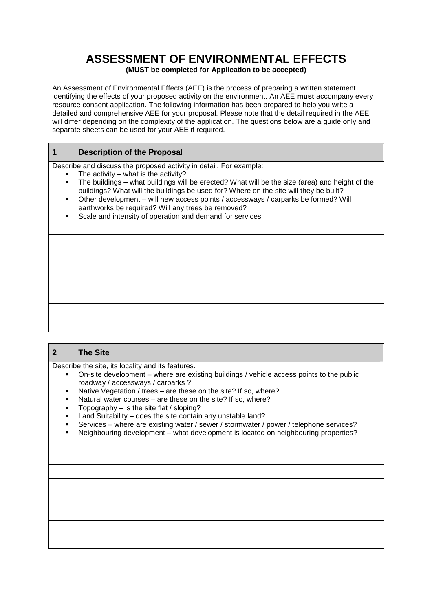# **ASSESSMENT OF ENVIRONMENTAL EFFECTS**

**(MUST be completed for Application to be accepted)** 

An Assessment of Environmental Effects (AEE) is the process of preparing a written statement identifying the effects of your proposed activity on the environment. An AEE **must** accompany every resource consent application. The following information has been prepared to help you write a detailed and comprehensive AEE for your proposal. Please note that the detail required in the AEE will differ depending on the complexity of the application. The questions below are a guide only and separate sheets can be used for your AEE if required.

### **1 Description of the Proposal**

Describe and discuss the proposed activity in detail. For example:

- The activity what is the activity?
- The buildings what buildings will be erected? What will be the size (area) and height of the buildings? What will the buildings be used for? Where on the site will they be built?
- Other development will new access points / accessways / carparks be formed? Will earthworks be required? Will any trees be removed?
- Scale and intensity of operation and demand for services

#### **2 The Site**

Describe the site, its locality and its features.

- On-site development where are existing buildings / vehicle access points to the public roadway / accessways / carparks ?
- Native Vegetation / trees are these on the site? If so, where?
- Natural water courses are these on the site? If so, where?
- Topography is the site flat / sloping?
- Land Suitability does the site contain any unstable land?
- Services where are existing water / sewer / stormwater / power / telephone services?
- Neighbouring development what development is located on neighbouring properties?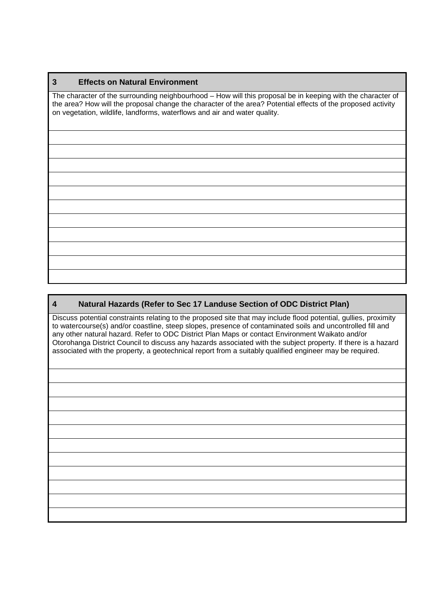#### **3 Effects on Natural Environment**

The character of the surrounding neighbourhood – How will this proposal be in keeping with the character of the area? How will the proposal change the character of the area? Potential effects of the proposed activity on vegetation, wildlife, landforms, waterflows and air and water quality.

#### **4 Natural Hazards (Refer to Sec 17 Landuse Section of ODC District Plan)**

Discuss potential constraints relating to the proposed site that may include flood potential, gullies, proximity to watercourse(s) and/or coastline, steep slopes, presence of contaminated soils and uncontrolled fill and any other natural hazard. Refer to ODC District Plan Maps or contact Environment Waikato and/or Otorohanga District Council to discuss any hazards associated with the subject property. If there is a hazard associated with the property, a geotechnical report from a suitably qualified engineer may be required.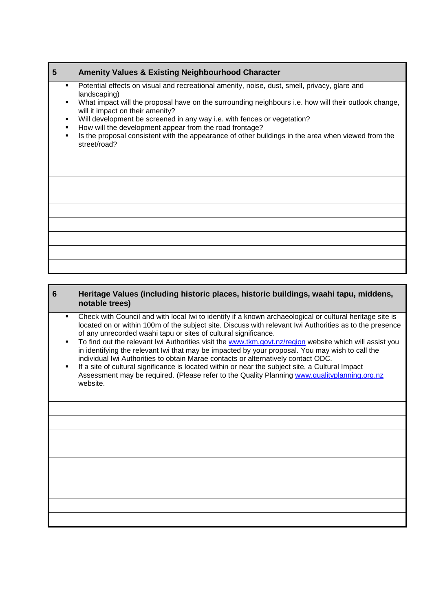## **5 Amenity Values & Existing Neighbourhood Character**

- Potential effects on visual and recreational amenity, noise, dust, smell, privacy, glare and landscaping)
- What impact will the proposal have on the surrounding neighbours i.e. how will their outlook change, will it impact on their amenity?
- Will development be screened in any way i.e. with fences or vegetation?
- How will the development appear from the road frontage?
- Is the proposal consistent with the appearance of other buildings in the area when viewed from the street/road?

#### **6 Heritage Values (including historic places, historic buildings, waahi tapu, middens, notable trees)**

- Check with Council and with local Iwi to identify if a known archaeological or cultural heritage site is located on or within 100m of the subject site. Discuss with relevant Iwi Authorities as to the presence of any unrecorded waahi tapu or sites of cultural significance.
- To find out the relevant Iwi Authorities visit the www.tkm.govt.nz/region website which will assist you in identifying the relevant Iwi that may be impacted by your proposal. You may wish to call the individual Iwi Authorities to obtain Marae contacts or alternatively contact ODC.
- If a site of cultural significance is located within or near the subject site, a Cultural Impact Assessment may be required. (Please refer to the Quality Planning www.qualityplanning.org.nz website.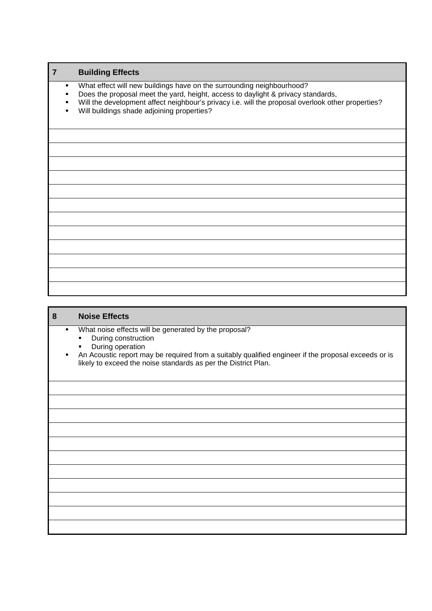#### **7 Building Effects**

- **What effect will new buildings have on the surrounding neighbourhood?**
- Does the proposal meet the yard, height, access to daylight & privacy standards,
- Will the development affect neighbour's privacy i.e. will the proposal overlook other properties?
- **Will buildings shade adjoining properties?**

# **8 Noise Effects**  • What noise effects will be generated by the proposal? **During construction •** During operation An Acoustic report may be required from a suitably qualified engineer if the proposal exceeds or is likely to exceed the noise standards as per the District Plan.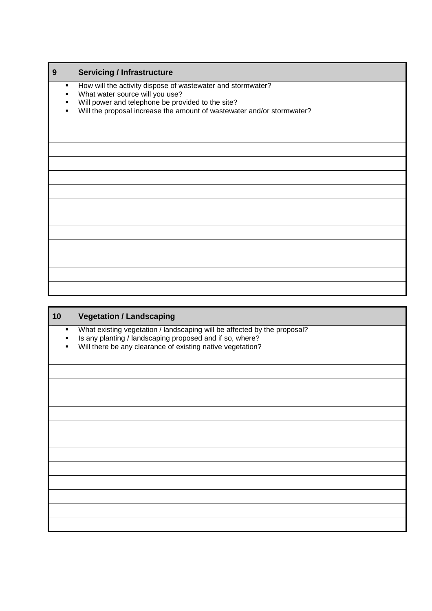#### **9 Servicing / Infrastructure**

- How will the activity dispose of wastewater and stormwater?
- What water source will you use?<br>■ Will nower and telephone be prov
- Will power and telephone be provided to the site?<br>■ Will the proposal increase the amount of wastewat
- Will the proposal increase the amount of wastewater and/or stormwater?

# **10 Vegetation / Landscaping**

**What existing vegetation / landscaping will be affected by the proposal?** 

- Is any planting / landscaping proposed and if so, where?
- Will there be any clearance of existing native vegetation?